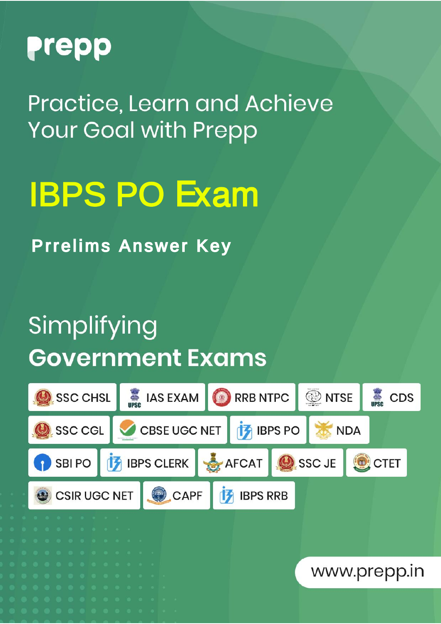

Practice, Learn and Achieve **Your Goal with Prepp** 

# IBPS PO Exam

Prrelims Answer Key

## Simplifying **Government Exams**

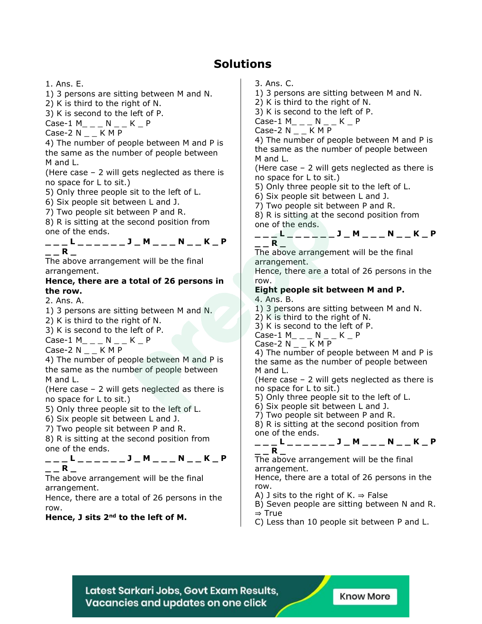### **Solutions**

1. Ans. E.

1) 3 persons are sitting between M and N.

2) K is third to the right of N.

3) K is second to the left of P.

 $Case-1 M$ <sub>\_\_</sub> N \_ \_ K \_ P

Case-2  $N_{--}$  K M P

4) The number of people between M and P is the same as the number of people between M and L.

(Here case – 2 will gets neglected as there is no space for L to sit.)

5) Only three people sit to the left of L.

6) Six people sit between L and J.

7) Two people sit between P and R.

8) R is sitting at the second position from one of the ends.

|  |  |  |  |  | . . |  |  |  |  |  |
|--|--|--|--|--|-----|--|--|--|--|--|
|  |  |  |  |  |     |  |  |  |  |  |

The above arrangement will be the final arrangement.

#### **Hence, there are a total of 26 persons in the row.**

2. Ans. A.

1) 3 persons are sitting between M and N.

2) K is third to the right of N.

3) K is second to the left of P.

 $Case-1 M$ <sub>\_\_</sub> N \_ \_ K \_ P

Case-2  $N_$   $K$  M P

4) The number of people between M and P is the same as the number of people between M and L.

(Here case – 2 will gets neglected as there is no space for L to sit.)

5) Only three people sit to the left of L.

6) Six people sit between L and J.

7) Two people sit between P and R.

8) R is sitting at the second position from one of the ends.

#### **\_ \_ \_ L \_ \_ \_ \_ \_ \_ J \_ M \_ \_ \_ N \_ \_ K \_ P \_ \_ R \_**

The above arrangement will be the final arrangement.

Hence, there are a total of 26 persons in the row.

**Hence, J sits 2nd to the left of M.**

3. Ans. C.

1) 3 persons are sitting between M and N.

2) K is third to the right of N.

3) K is second to the left of P.

 $Case-1 M$ <sub>\_\_</sub> N \_ K \_ P

Case-2 N K M P

4) The number of people between M and P is the same as the number of people between M and L.

(Here case – 2 will gets neglected as there is no space for L to sit.)

5) Only three people sit to the left of L.

6) Six people sit between L and J.

7) Two people sit between P and R.

8) R is sitting at the second position from one of the ends.

$$
---R L ---- -1 -J -M ----N -K -P
$$

The above arrangement will be the final arrangement.

Hence, there are a total of 26 persons in the row.

#### **Eight people sit between M and P.** 4. Ans. B.

1) 3 persons are sitting between M and N.

2) K is third to the right of N.

3) K is second to the left of P.

Case-1 M\_ \_ \_ N \_ \_ K \_ P

Case-2 N \_ \_ K M P

4) The number of people between M and P is the same as the number of people between M and L.

(Here case – 2 will gets neglected as there is no space for L to sit.)

5) Only three people sit to the left of L.

6) Six people sit between L and J.

7) Two people sit between P and R.

8) R is sitting at the second position from one of the ends.

**\_ \_ \_ L \_ \_ \_ \_ \_ \_ J \_ M \_ \_ \_ N \_ \_ K \_ P \_ \_ R \_**

The above arrangement will be the final arrangement.

Hence, there are a total of 26 persons in the row.

A) J sits to the right of K.  $\Rightarrow$  False

B) Seven people are sitting between N and R. ⇒ True

C) Less than 10 people sit between P and L.

Latest Sarkari Jobs, Govt Exam Results, Vacancies and updates on one click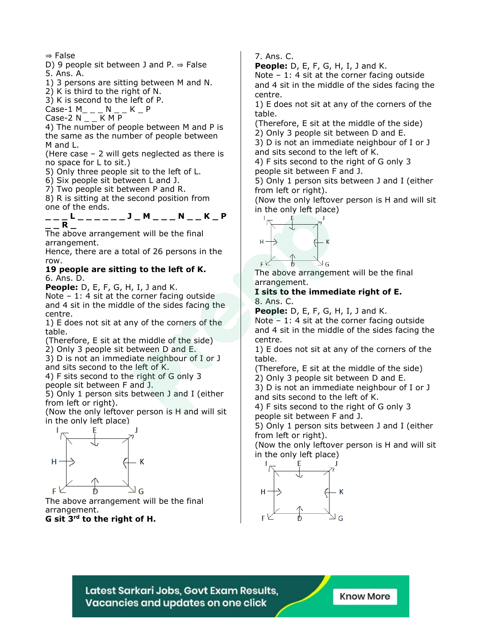⇒ False

D) 9 people sit between J and P.  $\Rightarrow$  False 5. Ans. A.

1) 3 persons are sitting between M and N.

2) K is third to the right of N.

3) K is second to the left of P.

Case-1 M<sub>\_ \_ \_</sub> N \_ \_ K \_ P

Case-2  $N_$   $K$  M P

4) The number of people between M and P is the same as the number of people between M and L.

(Here case – 2 will gets neglected as there is no space for L to sit.)

5) Only three people sit to the left of L.

6) Six people sit between L and J.

7) Two people sit between P and R.

8) R is sitting at the second position from one of the ends.

**\_ \_ \_ L \_ \_ \_ \_ \_ \_ J \_ M \_ \_ \_ N \_ \_ K \_ P \_ \_ R \_**

The above arrangement will be the final arrangement.

Hence, there are a total of 26 persons in the row.

#### **19 people are sitting to the left of K.** 6. Ans. D.

**People:** D, E, F, G, H, I, J and K.

Note  $-1$ : 4 sit at the corner facing outside and 4 sit in the middle of the sides facing the centre.

1) E does not sit at any of the corners of the table.

(Therefore, E sit at the middle of the side) 2) Only 3 people sit between D and E.

3) D is not an immediate neighbour of I or J and sits second to the left of K.

4) F sits second to the right of G only 3 people sit between F and J.

5) Only 1 person sits between J and I (either from left or right).

(Now the only leftover person is H and will sit in the only left place)



The above arrangement will be the final arrangement.

**G sit 3rd to the right of H.**

7. Ans. C.

**People:** D, E, F, G, H, I, J and K.

Note - 1: 4 sit at the corner facing outside and 4 sit in the middle of the sides facing the centre.

1) E does not sit at any of the corners of the table.

(Therefore, E sit at the middle of the side)

2) Only 3 people sit between D and E.

3) D is not an immediate neighbour of I or J and sits second to the left of K.

4) F sits second to the right of G only 3 people sit between F and J.

5) Only 1 person sits between J and I (either from left or right).

(Now the only leftover person is H and will sit in the only left place)



The above arrangement will be the final arrangement.

**I sits to the immediate right of E.** 8. Ans. C.

**People:** D, E, F, G, H, I, J and K.

Note - 1: 4 sit at the corner facing outside and 4 sit in the middle of the sides facing the centre.

1) E does not sit at any of the corners of the table.

(Therefore, E sit at the middle of the side)

2) Only 3 people sit between D and E.

3) D is not an immediate neighbour of I or J and sits second to the left of K.

4) F sits second to the right of G only 3 people sit between F and J.

5) Only 1 person sits between J and I (either from left or right).

(Now the only leftover person is H and will sit in the only left place)



Latest Sarkari Jobs, Govt Exam Results, Vacancies and updates on one click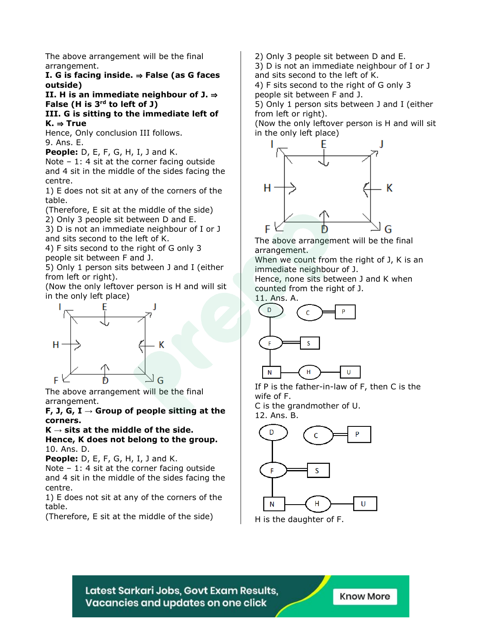The above arrangement will be the final arrangement.

**I. G is facing inside.** ⇒ **False (as G faces outside)**

**II. H is an immediate neighbour of J.** ⇒ **False (H is 3rd to left of J)**

**III. G is sitting to the immediate left of K.** ⇒ **True**

Hence, Only conclusion III follows. 9. Ans. E.

**People:** D, E, F, G, H, I, J and K.

Note – 1: 4 sit at the corner facing outside and 4 sit in the middle of the sides facing the centre.

1) E does not sit at any of the corners of the table.

(Therefore, E sit at the middle of the side) 2) Only 3 people sit between D and E.

3) D is not an immediate neighbour of I or J and sits second to the left of K.

4) F sits second to the right of G only 3 people sit between F and J.

5) Only 1 person sits between J and I (either from left or right).

(Now the only leftover person is H and will sit in the only left place)



The above arrangement will be the final arrangement.

**F, J, G, I → Group of people sitting at the corners.**

#### $K \rightarrow$  sits at the middle of the side. **Hence, K does not belong to the group.** 10. Ans. D.

**People:** D, E, F, G, H, I, J and K.

Note  $-1$ : 4 sit at the corner facing outside and 4 sit in the middle of the sides facing the centre.

1) E does not sit at any of the corners of the table.

(Therefore, E sit at the middle of the side)

2) Only 3 people sit between D and E.

3) D is not an immediate neighbour of I or J and sits second to the left of K.

4) F sits second to the right of G only 3 people sit between F and J.

5) Only 1 person sits between J and I (either from left or right).

(Now the only leftover person is H and will sit in the only left place)



The above arrangement will be the final arrangement.

When we count from the right of J, K is an immediate neighbour of J.

Hence, none sits between J and K when counted from the right of J.



If P is the father-in-law of F, then C is the wife of F.

C is the grandmother of U. 12. Ans. B.



H is the daughter of F.

Latest Sarkari Jobs, Govt Exam Results, Vacancies and updates on one click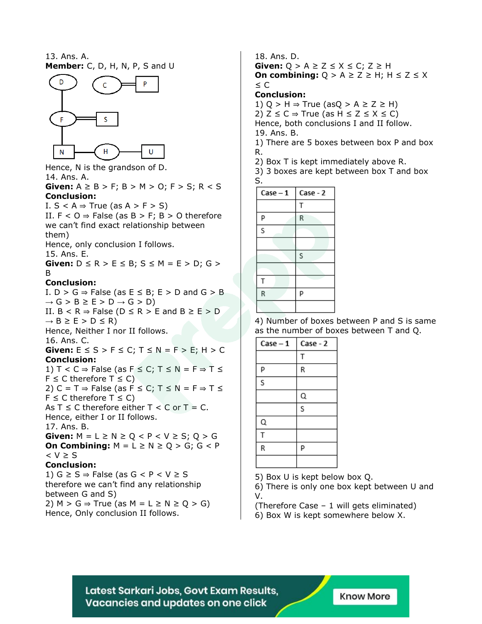13. Ans. A. **Member:** C, D, H, N, P, S and U



Hence, N is the grandson of D. 14. Ans. A. **Given:**  $A \geq B > F$ ;  $B > M > 0$ ;  $F > S$ ;  $R < S$ **Conclusion:**

I.  $S < A \Rightarrow$  True (as  $A > F > S$ ) II.  $F < 0 \Rightarrow F$ alse (as  $B > F$ ;  $B > 0$  therefore we can't find exact relationship between them) Hence, only conclusion I follows. 15. Ans. E.

**Given:**  $D \le R > E \le B$ ;  $S \le M = E > D$ ;  $G >$ B

#### **Conclusion:**

I.  $D > G \Rightarrow$  False (as  $E \leq B$ ;  $E > D$  and  $G > B$  $\rightarrow$  G > B  $\geq$  E > D  $\rightarrow$  G > D) II.  $B < R \Rightarrow$  False ( $D \le R > E$  and  $B \ge E > D$  $\rightarrow$  B  $\geq$  E  $>$  D  $\leq$  R) Hence, Neither I nor II follows. 16. Ans. C. **Given:**  $E \leq S > F \leq C$ ;  $T \leq N = F > E$ ;  $H > C$ **Conclusion:** 1)  $T < C \Rightarrow$  False (as  $F \le C$ ;  $T \le N = F \Rightarrow T \le T$  $F \le C$  therefore  $T \le C$ ) 2) C = T  $\Rightarrow$  False (as F  $\leq$  C; T  $\leq$  N = F  $\Rightarrow$  T  $\leq$  $F \le C$  therefore  $T \le C$ ) As  $T \le C$  therefore either  $T < C$  or  $T = C$ . Hence, either I or II follows. 17. Ans. B. **Given:**  $M = L \ge N \ge Q < P < V \ge S$ ;  $Q > G$ **On Combining:**  $M = L \ge N \ge Q > G$ ;  $G < P$ < V ≥ S **Conclusion:** 1)  $G \geq S \Rightarrow$  False (as  $G < P < V \geq S$ therefore we can't find any relationship between G and S) 2)  $M > G \Rightarrow True$  (as  $M = L \ge N \ge Q > G$ )

Hence, Only conclusion II follows.

18. Ans. D. **Given:**  $Q > A \ge Z \le X \le C$ ;  $Z \ge H$ **On combining:**  $Q > A \ge Z \ge H$ ;  $H \le Z \le X$ ≤ C **Conclusion:**

1) Q > H  $\Rightarrow$  True (asQ > A  $\geq$  Z  $\geq$  H) 2)  $Z$  ≤  $C$   $\Rightarrow$  True (as H ≤ Z ≤ X ≤ C) Hence, both conclusions I and II follow. 19. Ans. B.

1) There are 5 boxes between box P and box R.

2) Box T is kept immediately above R.

3) 3 boxes are kept between box T and box S.

| $Case - 1$ | Case - 2 |
|------------|----------|
|            | T        |
| P          | R        |
| S          |          |
|            |          |
|            | S        |
|            |          |
| T          |          |
| R          | p        |
|            |          |

4) Number of boxes between P and S is same as the number of boxes between T and Q.

| Case - 1 | Case - 2 |
|----------|----------|
|          | T        |
| P        | R        |
| S        |          |
|          | Q        |
|          | s        |
| Q        |          |
| Т        |          |
| R        | P        |
|          |          |

5) Box U is kept below box Q.

6) There is only one box kept between U and V.

(Therefore Case – 1 will gets eliminated)

6) Box W is kept somewhere below X.

Latest Sarkari Jobs, Govt Exam Results, Vacancies and updates on one click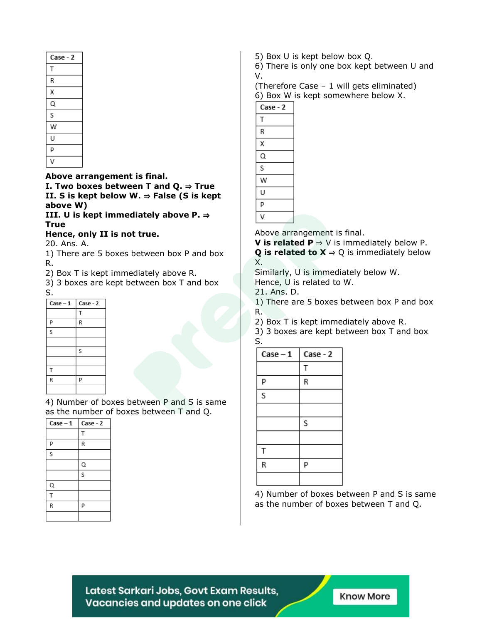| Case - 2 |
|----------|
| Т        |
| R        |
| χ        |
| Q        |
| S        |
| W        |
| U        |
| P        |
|          |

**Above arrangement is final.**

**I. Two boxes between T and Q.** ⇒ **True II. S is kept below W.** ⇒ **False (S is kept above W)**

**III. U is kept immediately above P.** ⇒ **True**

**Hence, only II is not true.**

20. Ans. A.

1) There are 5 boxes between box P and box R.

2) Box T is kept immediately above R.

3) 3 boxes are kept between box T and box S.

| $Case - 1$ | Case - 2 |
|------------|----------|
|            | T        |
| P          | R        |
| S          |          |
|            |          |
|            | S        |
|            |          |
| T          |          |
| R          | P        |
|            |          |

4) Number of boxes between P and S is same as the number of boxes between T and Q.

| $Case - 1$ | Case - 2       |
|------------|----------------|
|            | T              |
| P          | R              |
| S          |                |
|            | Q              |
|            | $\overline{s}$ |
| Q          |                |
| T          |                |
| R          | P              |
|            |                |

5) Box U is kept below box Q.

6) There is only one box kept between U and V.

(Therefore Case – 1 will gets eliminated) 6) Box W is kept somewhere below X.



Above arrangement is final.

**V** is **related**  $P$  ⇒ V is immediately below P. **Q** is related to  $X \Rightarrow Q$  is immediately below X.

Similarly, U is immediately below W. Hence, U is related to W.

21. Ans. D.

1) There are 5 boxes between box P and box R.

2) Box T is kept immediately above R.

3) 3 boxes are kept between box T and box S.

| $Case - 1$ | Case - 2 |
|------------|----------|
|            | Т        |
| Р          | R        |
| S          |          |
|            |          |
|            | S        |
|            |          |
| T          |          |
| R          | P        |
|            |          |

4) Number of boxes between P and S is same as the number of boxes between T and Q.

Latest Sarkari Jobs, Govt Exam Results, Vacancies and updates on one click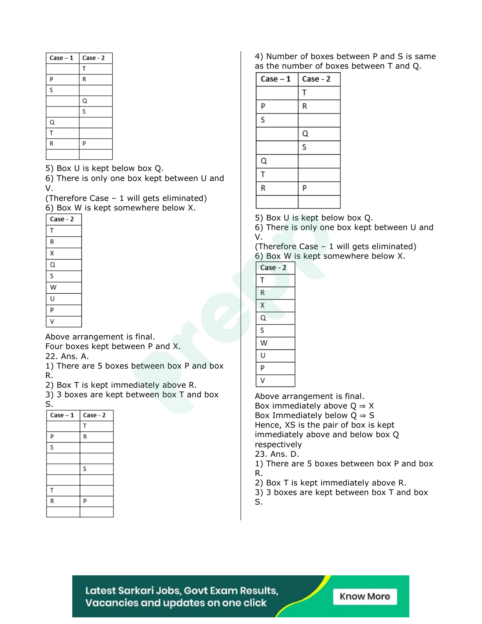| $Case - 1$ | Case - 2 |
|------------|----------|
|            | Т        |
| P          | R        |
| S          |          |
|            | Q        |
|            | S        |
| Q          |          |
| T          |          |
| R          | P        |
|            |          |

5) Box U is kept below box Q.

6) There is only one box kept between U and V.

(Therefore Case – 1 will gets eliminated) 6) Box W is kept somewhere below X.

| ,        |
|----------|
| Case - 2 |
| Т        |
| R        |
| Χ        |
| Q        |
| S        |
| w        |
| U        |
| p        |
|          |

Above arrangement is final. Four boxes kept between P and X.

22. Ans. A.

1) There are 5 boxes between box P and box R.

2) Box T is kept immediately above R.

3) 3 boxes are kept between box T and box S.

| $Case - 1$ | Case - 2 |
|------------|----------|
|            | T        |
| P          | R        |
| S          |          |
|            |          |
|            | S        |
|            |          |
| T          |          |
| R          | P        |
|            |          |

#### 4) Number of boxes between P and S is same as the number of boxes between T and Q.

| $Case - 1$ | Case - 2 |
|------------|----------|
|            | T        |
| Р          | R        |
| S          |          |
|            | Q        |
|            | S        |
| Q          |          |
| T          |          |
| R          | Р        |
|            |          |

5) Box U is kept below box Q.

6) There is only one box kept between U and V.

(Therefore Case – 1 will gets eliminated) 6) Box W is kept somewhere below X.

| Case - 2 |  |
|----------|--|
| Т        |  |
| R        |  |
| Χ        |  |
| Q        |  |
| S        |  |
| W        |  |
| U        |  |
| p        |  |
|          |  |

Above arrangement is final.

Box immediately above  $Q \Rightarrow X$ Box Immediately below  $Q \Rightarrow S$ Hence, XS is the pair of box is kept immediately above and below box Q respectively

23. Ans. D.

1) There are 5 boxes between box P and box R.

2) Box T is kept immediately above R.

3) 3 boxes are kept between box T and box

S.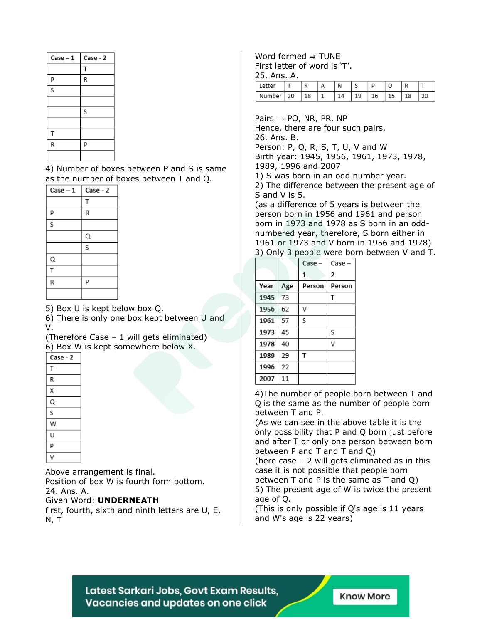| $Case - 1$ | Case - 2 |
|------------|----------|
|            | т        |
| P          | R        |
| S          |          |
|            |          |
|            | S        |
|            |          |
| T          |          |
| R          | P        |
|            |          |

4) Number of boxes between P and S is same as the number of boxes between T and Q.

| $Case - 1$ | Case - 2                |
|------------|-------------------------|
|            | Т                       |
| p          | R                       |
| s          |                         |
|            | Q                       |
|            | $\overline{\mathsf{s}}$ |
| Q          |                         |
| T          |                         |
| R          | P                       |
|            |                         |

5) Box U is kept below box Q.

6) There is only one box kept between U and V.

(Therefore Case – 1 will gets eliminated) 6) Box W is kept somewhere below X.

| ,        |
|----------|
| Case - 2 |
| T        |
| R        |
| Χ        |
| Q        |
| S        |
| W        |
| U        |
| p        |
|          |
|          |

Above arrangement is final. Position of box W is fourth form bottom.

24. Ans. A.

Given Word: **UNDERNEATH**

first, fourth, sixth and ninth letters are U, E, N, T

Word formed  $\Rightarrow$  TUNE First letter of word is 'T'.

25. Ans. A.

| PΙ     |    | D  | N | ◡ |    |   | R  |    |
|--------|----|----|---|---|----|---|----|----|
| Number | 20 | ⊥໐ |   |   | LО | ∸ | 8ء | 20 |

Pairs  $\rightarrow$  PO, NR, PR, NP Hence, there are four such pairs. 26. Ans. B. Person: P, Q, R, S, T, U, V and W Birth year: 1945, 1956, 1961, 1973, 1978, 1989, 1996 and 2007 1) S was born in an odd number year. 2) The difference between the present age of S and V is 5. (as a difference of 5 years is between the person born in 1956 and 1961 and person born in 1973 and 1978 as S born in an oddnumbered year, therefore, S born either in 1961 or 1973 and V born in 1956 and 1978) 3) Only 3 people were born between V and T.

|      |     | Case   | Case-  |
|------|-----|--------|--------|
|      |     | 1      | 2      |
| Year | Age | Person | Person |
| 1945 | 73  |        | Т      |
| 1956 | 62  | ν      |        |
| 1961 | 57  | S      |        |
| 1973 | 45  |        | S      |
| 1978 | 40  |        | ٧      |
| 1989 | 29  | T      |        |
| 1996 | 22  |        |        |
| 2007 | 11  |        |        |

4)The number of people born between T and Q is the same as the number of people born between T and P.

(As we can see in the above table it is the only possibility that P and Q born just before and after T or only one person between born between P and T and T and Q)

(here case – 2 will gets eliminated as in this case it is not possible that people born between T and P is the same as T and Q) 5) The present age of W is twice the present

age of Q.

(This is only possible if Q's age is 11 years and W's age is 22 years)

Latest Sarkari Jobs, Govt Exam Results, Vacancies and updates on one click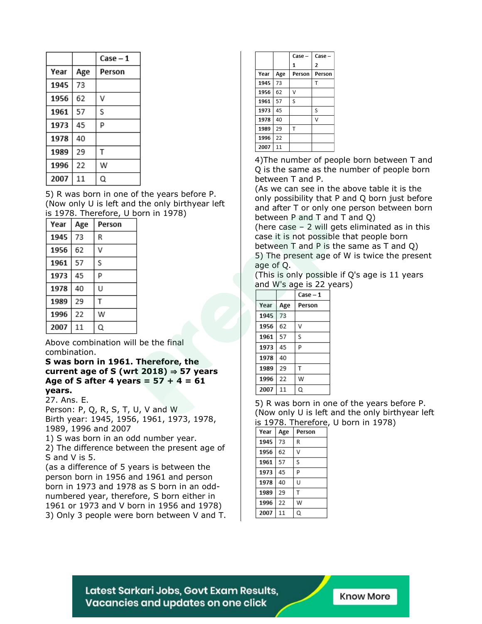|      |     | Case – 1 |
|------|-----|----------|
| Year | Age | Person   |
| 1945 | 73  |          |
| 1956 | 62  | V        |
| 1961 | 57  | S        |
| 1973 | 45  | p        |
| 1978 | 40  |          |
| 1989 | 29  | Т        |
| 1996 | 22  | w        |
| 2007 | 11  | Q        |

5) R was born in one of the years before P. (Now only U is left and the only birthyear left is 1978. Therefore, U born in 1978)

| Year | Age | Person |
|------|-----|--------|
| 1945 | 73  | R      |
| 1956 | 62  | ν      |
| 1961 | 57  | S      |
| 1973 | 45  | р      |
| 1978 | 40  | U      |
| 1989 | 29  | т      |
| 1996 | 22  | w      |
| 2007 | 11  | Q      |

Above combination will be the final combination.

#### **S was born in 1961. Therefore, the current age of S (wrt 2018)** ⇒ **57 years Age of S after 4 years = 57 + 4 = 61 years.**

27. Ans. E.

Person: P, Q, R, S, T, U, V and W Birth year: 1945, 1956, 1961, 1973, 1978, 1989, 1996 and 2007

1) S was born in an odd number year.

2) The difference between the present age of S and V is 5.

(as a difference of 5 years is between the person born in 1956 and 1961 and person born in 1973 and 1978 as S born in an oddnumbered year, therefore, S born either in 1961 or 1973 and V born in 1956 and 1978) 3) Only 3 people were born between V and T.

|      |     | Case-  | Case-          |
|------|-----|--------|----------------|
|      |     | 1      | $\overline{2}$ |
| Year | Age | Person | Person         |
| 1945 | 73  |        | т              |
| 1956 | 62  | ٧      |                |
| 1961 | 57  | S      |                |
| 1973 | 45  |        | S              |
| 1978 | 40  |        | ν              |
| 1989 | 29  | т      |                |
| 1996 | 22  |        |                |
| 2007 | 11  |        |                |

4)The number of people born between T and Q is the same as the number of people born between T and P.

(As we can see in the above table it is the only possibility that P and Q born just before and after T or only one person between born between P and T and T and Q)

(here case – 2 will gets eliminated as in this case it is not possible that people born between T and P is the same as T and Q) 5) The present age of W is twice the present age of Q.

(This is only possible if Q's age is 11 years and W's age is 22 years)

|      |     | Case - 1 |
|------|-----|----------|
| Year | Age | Person   |
| 1945 | 73  |          |
| 1956 | 62  | ν        |
| 1961 | 57  | S        |
| 1973 | 45  | p        |
| 1978 | 40  |          |
| 1989 | 29  | т        |
| 1996 | 22  | w        |
| 2007 | 11  | Q        |

5) R was born in one of the years before P. (Now only U is left and the only birthyear left is 1978. Therefore, U born in 1978)

| Year | Age | Person |
|------|-----|--------|
| 1945 | 73  | R      |
| 1956 | 62  | V      |
| 1961 | 57  | S      |
| 1973 | 45  | p      |
| 1978 | 40  | U      |
| 1989 | 29  | т      |
| 1996 | 22  | W      |
| 2007 | 11  | Q      |

Latest Sarkari Jobs, Govt Exam Results, Vacancies and updates on one click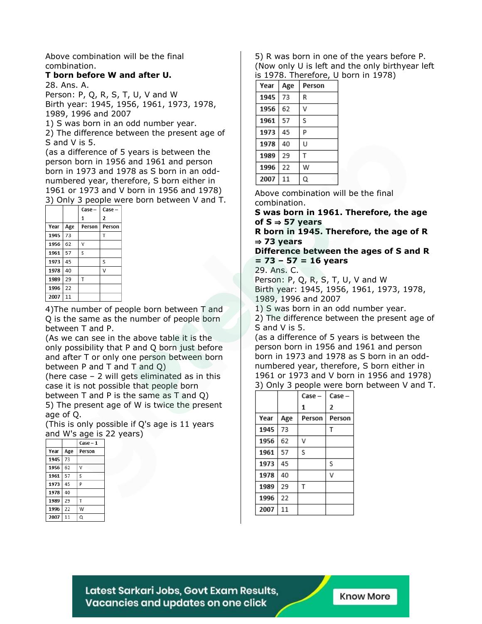Above combination will be the final combination.

#### **T born before W and after U.**

28. Ans. A.

Person: P, Q, R, S, T, U, V and W Birth year: 1945, 1956, 1961, 1973, 1978, 1989, 1996 and 2007

1) S was born in an odd number year.

2) The difference between the present age of S and V is 5.

(as a difference of 5 years is between the person born in 1956 and 1961 and person born in 1973 and 1978 as S born in an oddnumbered year, therefore, S born either in 1961 or 1973 and V born in 1956 and 1978) 3) Only 3 people were born between V and T.

|      |     | Case – | Case –         |
|------|-----|--------|----------------|
|      |     | 1      | $\overline{2}$ |
| Year | Age | Person | Person         |
| 1945 | 73  |        |                |
| 1956 | 62  | V      |                |
| 1961 | 57  | S      |                |
| 1973 | 45  |        | S              |
| 1978 | 40  |        | ٧              |
| 1989 | 29  | T      |                |
| 1996 | 22  |        |                |
| 2007 | 11  |        |                |

4)The number of people born between T and Q is the same as the number of people born between T and P.

(As we can see in the above table it is the only possibility that P and Q born just before and after T or only one person between born between P and T and T and Q)

(here case – 2 will gets eliminated as in this case it is not possible that people born between T and P is the same as T and Q) 5) The present age of W is twice the present

age of Q. (This is only possible if Q's age is 11 years and W's age is 22 years)

|      |     | $Case - 1$ |  |
|------|-----|------------|--|
| Year | Age | Person     |  |
| 1945 | 73  |            |  |
| 1956 | 62  | V          |  |
| 1961 | 57  | S          |  |
| 1973 | 45  | p          |  |
| 1978 | 40  |            |  |
| 1989 | 29  | т          |  |
| 1996 | 22  | W          |  |
| 2007 | 11  | Q          |  |

5) R was born in one of the years before P. (Now only U is left and the only birthyear left is 1978. Therefore, U born in 1978)

| Year | Age | Person |
|------|-----|--------|
| 1945 | 73  | R      |
| 1956 | 62  | V      |
| 1961 | 57  | S      |
| 1973 | 45  | P      |
| 1978 | 40  | U      |
| 1989 | 29  | т      |
| 1996 | 22  | w      |
| 2007 | 11  | Q      |

Above combination will be the final combination.

**S was born in 1961. Therefore, the age of S** ⇒ **57 years**

**R born in 1945. Therefore, the age of R** ⇒ **73 years**

**Difference between the ages of S and R = 73 – 57 = 16 years**

29. Ans. C.

Person: P, Q, R, S, T, U, V and W Birth year: 1945, 1956, 1961, 1973, 1978, 1989, 1996 and 2007

1) S was born in an odd number year.

2) The difference between the present age of S and V is 5.

(as a difference of 5 years is between the person born in 1956 and 1961 and person born in 1973 and 1978 as S born in an oddnumbered year, therefore, S born either in 1961 or 1973 and V born in 1956 and 1978) 3) Only 3 people were born between V and T.

|      |     | Case - | Case - |
|------|-----|--------|--------|
|      |     | 1      | 2      |
| Year | Age | Person | Person |
| 1945 | 73  |        | T      |
| 1956 | 62  | ν      |        |
| 1961 | 57  | S      |        |
| 1973 | 45  |        | S      |
| 1978 | 40  |        | ٧      |
| 1989 | 29  | T      |        |
| 1996 | 22  |        |        |
| 2007 | 11  |        |        |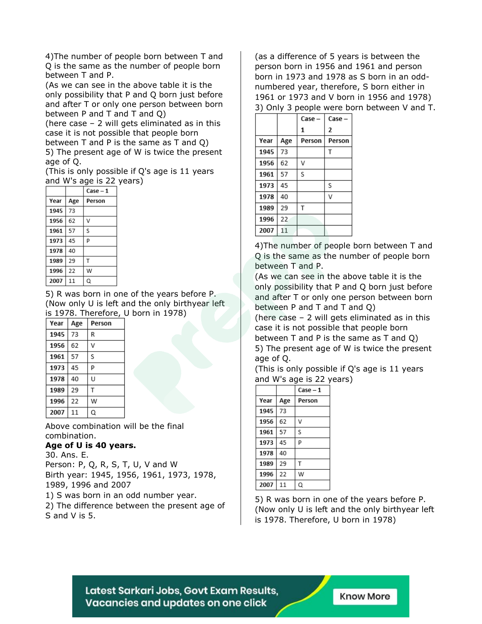4)The number of people born between T and Q is the same as the number of people born between T and P.

(As we can see in the above table it is the only possibility that P and Q born just before and after T or only one person between born between P and T and T and Q)

(here case – 2 will gets eliminated as in this case it is not possible that people born between T and P is the same as T and Q)

5) The present age of W is twice the present age of Q.

(This is only possible if Q's age is 11 years and W's age is 22 years)

|      |     | Case – 1 |
|------|-----|----------|
| Year | Age | Person   |
| 1945 | 73  |          |
| 1956 | 62  | v        |
| 1961 | 57  | S        |
| 1973 | 45  | p        |
| 1978 | 40  |          |
| 1989 | 29  | т        |
| 1996 | 22  | w        |
| 2007 | 11  | Q        |

5) R was born in one of the years before P. (Now only U is left and the only birthyear left is 1978. Therefore, U born in 1978)

| Year | Age | Person |
|------|-----|--------|
| 1945 | 73  | R      |
| 1956 | 62  | V      |
| 1961 | 57  | S      |
| 1973 | 45  | p      |
| 1978 | 40  | U      |
| 1989 | 29  | T      |
| 1996 | 22  | W      |
| 2007 | 11  | Q      |

Above combination will be the final combination.

#### **Age of U is 40 years.**

30. Ans. E. Person: P, Q, R, S, T, U, V and W Birth year: 1945, 1956, 1961, 1973, 1978, 1989, 1996 and 2007

1) S was born in an odd number year.

2) The difference between the present age of S and V is 5.

(as a difference of 5 years is between the person born in 1956 and 1961 and person born in 1973 and 1978 as S born in an oddnumbered year, therefore, S born either in 1961 or 1973 and V born in 1956 and 1978) 3) Only 3 people were born between V and T.

|      |     | Case   | Case   |
|------|-----|--------|--------|
|      |     | 1      | 2      |
| Year | Age | Person | Person |
| 1945 | 73  |        |        |
| 1956 | 62  | v      |        |
| 1961 | 57  | S      |        |
| 1973 | 45  |        | S      |
| 1978 | 40  |        | V      |
| 1989 | 29  | т      |        |
| 1996 | 22  |        |        |
| 2007 | 11  |        |        |

4)The number of people born between T and Q is the same as the number of people born between T and P.

(As we can see in the above table it is the only possibility that P and Q born just before and after T or only one person between born between P and T and T and Q)

(here case – 2 will gets eliminated as in this case it is not possible that people born between T and P is the same as T and Q) 5) The present age of W is twice the present age of Q.

(This is only possible if Q's age is 11 years and W's age is 22 years)

|      |     | $Case - 1$ |
|------|-----|------------|
| Year | Age | Person     |
| 1945 | 73  |            |
| 1956 | 62  | v          |
| 1961 | 57  | S          |
| 1973 | 45  | P          |
| 1978 | 40  |            |
| 1989 | 29  | T          |
| 1996 | 22  | W          |
| 2007 | 11  | Q          |

5) R was born in one of the years before P. (Now only U is left and the only birthyear left is 1978. Therefore, U born in 1978)

Latest Sarkari Jobs, Govt Exam Results, Vacancies and updates on one click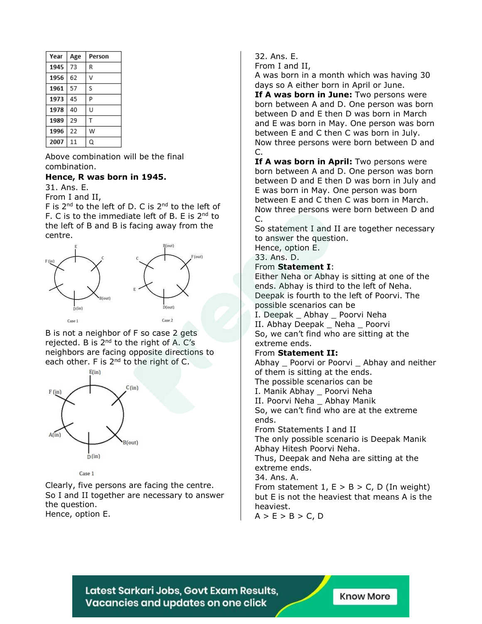| Year | Age | Person |
|------|-----|--------|
| 1945 | 73  | R      |
| 1956 | 62  | v      |
| 1961 | 57  | S      |
| 1973 | 45  | p      |
| 1978 | 40  | U      |
| 1989 | 29  | т      |
| 1996 | 22  | w      |
| 2007 | 11  | Q      |

Above combination will be the final combination.

#### **Hence, R was born in 1945.**

31. Ans. E.

From I and II,

F is 2<sup>nd</sup> to the left of D. C is 2<sup>nd</sup> to the left of F. C is to the immediate left of B. E is 2<sup>nd</sup> to the left of B and B is facing away from the centre.



B is not a neighbor of F so case 2 gets rejected. B is 2<sup>nd</sup> to the right of A. C's neighbors are facing opposite directions to each other. F is  $2^{nd}$  to the right of C.



#### Case 1

Clearly, five persons are facing the centre. So I and II together are necessary to answer the question. Hence, option E.

#### 32. Ans. E.

From I and II,

A was born in a month which was having 30 days so A either born in April or June.

**If A was born in June:** Two persons were born between A and D. One person was born between D and E then D was born in March and E was born in May. One person was born between E and C then C was born in July. Now three persons were born between D and C.

**If A was born in April:** Two persons were born between A and D. One person was born between D and E then D was born in July and E was born in May. One person was born between E and C then C was born in March. Now three persons were born between D and C.

So statement I and II are together necessary to answer the question.

Hence, option E.

### 33. Ans. D.

#### From **Statement I**:

Either Neha or Abhay is sitting at one of the ends. Abhay is third to the left of Neha. Deepak is fourth to the left of Poorvi. The possible scenarios can be I. Deepak \_ Abhay \_ Poorvi Neha

II. Abhay Deepak \_ Neha \_ Poorvi So, we can't find who are sitting at the extreme ends.

#### From **Statement II:**

Abhay \_ Poorvi or Poorvi \_ Abhay and neither of them is sitting at the ends. The possible scenarios can be I. Manik Abhay \_ Poorvi Neha II. Poorvi Neha \_ Abhay Manik So, we can't find who are at the extreme ends. From Statements I and II The only possible scenario is Deepak Manik Abhay Hitesh Poorvi Neha. Thus, Deepak and Neha are sitting at the extreme ends. 34. Ans. A. From statement  $1, E > B > C$ , D (In weight) but E is not the heaviest that means A is the

heaviest.  $A > E > B > C, D$ 

Latest Sarkari Jobs, Govt Exam Results, Vacancies and updates on one click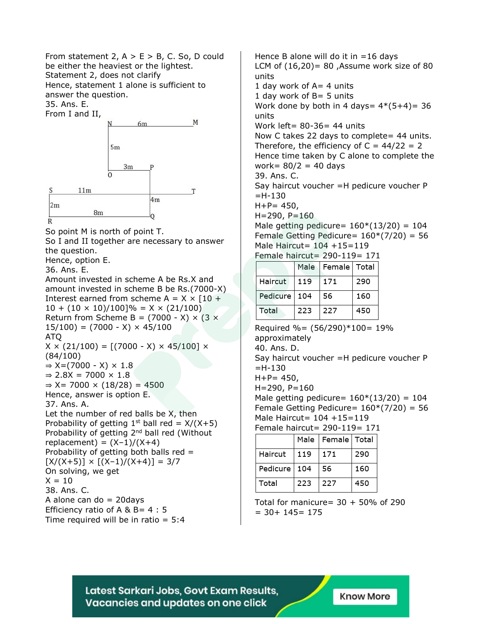From statement 2,  $A > E > B$ , C. So, D could be either the heaviest or the lightest. Statement 2, does not clarify Hence, statement 1 alone is sufficient to

answer the question.

35. Ans. E.



So point M is north of point T. So I and II together are necessary to answer the question. Hence, option E.

36. Ans. E.

Amount invested in scheme A be Rs.X and amount invested in scheme B be Rs.(7000-X) Interest earned from scheme  $A = X \times [10 +$  $10 + (10 \times 10)/100$ ]% = X × (21/100) Return from Scheme B =  $(7000 - X) \times (3 \times$  $15/100$ ) = (7000 - X) × 45/100 ATQ  $X \times (21/100) = [(7000 - X) \times 45/100] \times$ (84/100)  $\Rightarrow$  X=(7000 - X)  $\times$  1.8  $\Rightarrow$  2.8X = 7000  $\times$  1.8  $\Rightarrow$  X= 7000  $\times$  (18/28) = 4500 Hence, answer is option E. 37. Ans. A. Let the number of red balls be X, then Probability of getting  $1^{st}$  ball red =  $X/(X+5)$ Probability of getting 2<sup>nd</sup> ball red (Without  $replacent) = (X-1)/(X+4)$ Probability of getting both balls red =  $[X/(X+5)] \times [(X-1)/(X+4)] = 3/7$ On solving, we get  $X = 10$ 38. Ans. C. A alone can do  $= 20$ days Efficiency ratio of A & B =  $4:5$ Time required will be in ratio  $= 5:4$ 

Hence B alone will do it in  $=16$  days LCM of  $(16,20)$  = 80 , Assume work size of 80 units 1 day work of  $A=4$  units 1 day work of B= 5 units Work done by both in 4 days=  $4*(5+4)$ = 36 units Work left= 80-36= 44 units Now C takes 22 days to complete= 44 units. Therefore, the efficiency of  $C = 44/22 = 2$ Hence time taken by C alone to complete the work= 80/2 = 40 days 39. Ans. C. Say haircut voucher =H pedicure voucher P  $=$ H $-130$  $H + P = 450$ ,  $H = 290, P = 160$ Male getting pedicure=  $160*(13/20) = 104$ Female Getting Pedicure=  $160*(7/20) = 56$ Male Haircut= 104 +15=119 Female haircut= 290-119= 171 Male Female Total Haircut 119 171 290 Pedicure 104 56 160 Total 223 227 450 Required %=  $(56/290)*100= 19%$ approximately 40. Ans. D. Say haircut voucher =H pedicure voucher P  $=$ H $-130$  $H + P = 450$ ,  $H = 290, P = 160$ Male getting pedicure=  $160*(13/20) = 104$ Female Getting Pedicure=  $160*(7/20) = 56$ Male Haircut= 104 +15=119 Female haircut= 290-119= 171 Male | Female | Total Haircut | 119 | 171 290

| l Total<br>227<br>450<br>223 | Pedicure 104 | l 56 | 160 |
|------------------------------|--------------|------|-----|
|                              |              |      |     |

Total for manicure=  $30 + 50\%$  of 290  $= 30 + 145 = 175$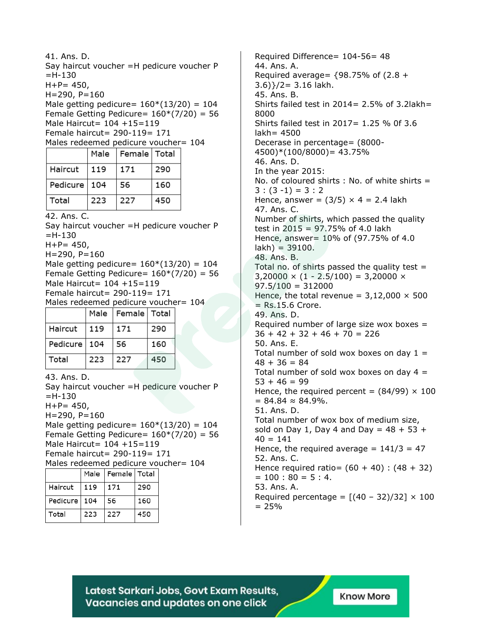41. Ans. D. Say haircut voucher =H pedicure voucher P  $=$ H $-130$  $H + P = 450$ ,  $H = 290, P = 160$ Male getting pedicure=  $160*(13/20) = 104$ Female Getting Pedicure=  $160*(7/20) = 56$ Male Haircut= 104 +15=119 Female haircut= 290-119= 171 Males redeemed pedicure voucher= 104 Female Total Male Haircut 119 171 290 Pedicure | 104 56 160 Total 223 227 450 42. Ans. C. Say haircut voucher =H pedicure voucher P  $=$ H $-130$  $H + P = 450,$  $H = 290, P = 160$ Male getting pedicure=  $160*(13/20) = 104$ Female Getting Pedicure=  $160*(7/20) = 56$ Male Haircut= 104 +15=119 Female haircut= 290-119= 171 Males redeemed pedicure voucher= 104 Male | Female | Total Haircut 119 171 290 Pedicure 104 56 160 Total 223 227 450 43. Ans. D. Say haircut voucher =H pedicure voucher P  $=$ H $-130$  $H + P = 450$ ,  $H = 290, P = 160$ Male getting pedicure=  $160*(13/20) = 104$ Female Getting Pedicure=  $160*(7/20) = 56$ Male Haircut= 104 +15=119 Female haircut= 290-119= 171 Males redeemed pedicure voucher= 104 Male | Female | Total Haircut 119 171 290 56 160 Pedicure 104 Total 223 227 450

Required Difference= 104-56= 48 44. Ans. A. Required average=  ${98.75\%}$  of  $(2.8 +$ 3.6)}/2= 3.16 lakh. 45. Ans. B. Shirts failed test in  $2014 = 2.5%$  of 3.2lakh = 8000 Shirts failed test in 2017= 1.25 % 0f 3.6 lakh= 4500 Decerase in percentage= (8000- 4500)\*(100/8000)= 43.75% 46. Ans. D. In the year 2015: No. of coloured shirts : No. of white shirts =  $3:(3-1)=3:2$ Hence, answer =  $(3/5) \times 4 = 2.4$  lakh 47. Ans. C. Number of shirts, which passed the quality test in 2015 =  $97.75\%$  of 4.0 lakh Hence, answer= 10% of (97.75% of 4.0 lakh) = 39100. 48. Ans. B. Total no. of shirts passed the quality test  $=$  $3,20000 \times (1 - 2.5/100) = 3,20000 \times$  $97.5/100 = 312000$ Hence, the total revenue =  $3,12,000 \times 500$  $=$  Rs.15.6 Crore. 49. Ans. D. Required number of large size wox boxes  $=$  $36 + 42 + 32 + 46 + 70 = 226$ 50. Ans. E. Total number of sold wox boxes on day  $1 =$  $48 + 36 = 84$ Total number of sold wox boxes on day  $4 =$  $53 + 46 = 99$ Hence, the required percent =  $(84/99) \times 100$  $= 84.84 \approx 84.9\%$ . 51. Ans. D. Total number of wox box of medium size, sold on Day 1, Day 4 and Day =  $48 + 53 +$  $40 = 141$ Hence, the required average =  $141/3 = 47$ 52. Ans. C. Hence required ratio=  $(60 + 40)$  :  $(48 + 32)$  $= 100 : 80 = 5 : 4.$ 53. Ans. A. Required percentage =  $[(40 - 32)/32] \times 100$  $= 25%$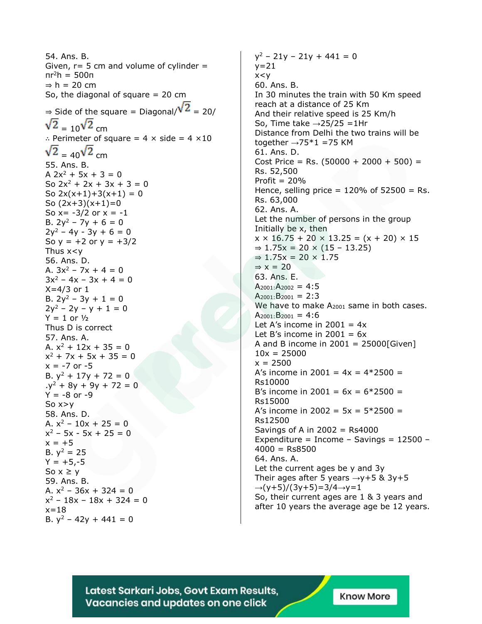54. Ans. B. Given,  $r=$  5 cm and volume of cylinder  $=$ πr<sup>2</sup>h = 500π  $\Rightarrow$  h = 20 cm So, the diagonal of square  $= 20$  cm  $\Rightarrow$  Side of the square = Diagonal/ $\sqrt{2}$  = 20/  $\sqrt{2} = 10^{\sqrt{2}}$  cm ∴ Perimeter of square = 4 × side = 4 ×10  $\sqrt{2}$  = 40 $\sqrt{2}$  cm 55. Ans. B. A  $2x^2 + 5x + 3 = 0$ So  $2x^2 + 2x + 3x + 3 = 0$ So  $2x(x+1)+3(x+1) = 0$ So  $(2x+3)(x+1)=0$ So  $x = -3/2$  or  $x = -1$ B.  $2y^2 - 7y + 6 = 0$  $2y^2 - 4y - 3y + 6 = 0$ So  $y = +2$  or  $y = +3/2$ Thus x<y 56. Ans. D. A.  $3x^2 - 7x + 4 = 0$  $3x^2 - 4x - 3x + 4 = 0$  $X=4/3$  or 1 B.  $2y^2 - 3y + 1 = 0$  $2y^2 - 2y - y + 1 = 0$  $Y = 1$  or  $1/2$ Thus D is correct 57. Ans. A. A.  $x^2$  + 12x + 35 = 0  $x^2$  + 7x + 5x + 35 = 0  $x = -7$  or  $-5$ B.  $y^2$  + 17y + 72 = 0  $.y^2 + 8y + 9y + 72 = 0$  $Y = -8$  or  $-9$ So  $x>y$ 58. Ans. D. A.  $x^2$  – 10x + 25 = 0  $x^2 - 5x - 5x + 25 = 0$  $x = +5$ B.  $y^2 = 25$  $Y = +5,-5$ So  $x \geq y$ 59. Ans. B. A.  $x^2$  – 36x + 324 = 0  $x^2 - 18x - 18x + 324 = 0$  $x = 18$ B.  $y^2$  – 42y + 441 = 0

 $y^2$  – 21y – 21y + 441 = 0  $y=21$  $x < y$ 60. Ans. B. In 30 minutes the train with 50 Km speed reach at a distance of 25 Km And their relative speed is 25 Km/h So, Time take  $\rightarrow$  25/25 = 1Hr Distance from Delhi the two trains will be together  $\rightarrow$ 75\*1 =75 KM 61. Ans. D. Cost Price = Rs.  $(50000 + 2000 + 500)$  = Rs. 52,500 Profit  $= 20%$ Hence, selling price =  $120\%$  of  $52500 =$  Rs. Rs. 63,000 62. Ans. A. Let the number of persons in the group Initially be x, then  $x \times 16.75 + 20 \times 13.25 = (x + 20) \times 15$  $\Rightarrow$  1.75x = 20 × (15 − 13.25)  $\Rightarrow$  1.75x = 20  $\times$  1.75  $\Rightarrow$  x = 20 63. Ans. E.  $A_{2001}:A_{2002} = 4:5$  $A_{2001}$ : B<sub>2001</sub> = 2:3 We have to make A<sub>2001</sub> same in both cases.  $A_{2001}$ : B<sub>2001</sub> = 4:6 Let A's income in  $2001 = 4x$ Let B's income in  $2001 = 6x$ A and B income in  $2001 = 25000$ [Given]  $10x = 25000$  $x = 2500$ A's income in 2001 =  $4x = 4*2500 =$ Rs10000 B's income in 2001 =  $6x = 6*2500 =$ Rs15000 A's income in 2002 =  $5x = 5*2500 =$ Rs12500 Savings of A in  $2002 =$  Rs4000 Expenditure = Income - Savings =  $12500 4000 =$ Rs8500 64. Ans. A. Let the current ages be y and 3y Their ages after 5 years  $\rightarrow$ y+5 & 3y+5  $\rightarrow$ (y+5)/(3y+5)=3/4 $\rightarrow$ y=1 So, their current ages are 1 & 3 years and after 10 years the average age be 12 years.

Latest Sarkari Jobs, Govt Exam Results, Vacancies and updates on one click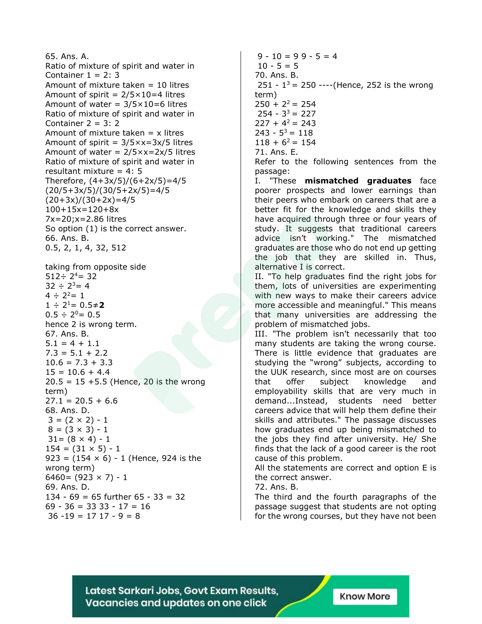65. Ans. A. Ratio of mixture of spirit and water in Container  $1 = 2: 3$ Amount of mixture taken  $= 10$  litres Amount of spirit =  $2/5 \times 10=4$  litres Amount of water =  $3/5 \times 10 = 6$  litres Ratio of mixture of spirit and water in Container  $2 = 3:2$ Amount of mixture taken  $= x$  litres Amount of spirit =  $3/5 \times x = 3x/5$  litres Amount of water =  $2/5 \times x = 2 \times 5$  litres Ratio of mixture of spirit and water in resultant mixture =  $4:5$ Therefore, (4+3x/5)/(6+2x/5)=4/5 (20/5+3x/5)/(30/5+2x/5)=4/5  $(20+3x)/(30+2x)=4/5$ 100+15x=120+8x 7x=20;x=2.86 litres So option (1) is the correct answer. 66. Ans. B. 0.5, 2, 1, 4, 32, 512 taking from opposite side  $512 \div 2^4 = 32$  $32 \div 2^3 = 4$  $4 \div 2^2 = 1$  $1 \div 2^1 = 0.5 \div 2$  $0.5 \div 2^0 = 0.5$ hence 2 is wrong term. 67. Ans. B.  $5.1 = 4 + 1.1$  $7.3 = 5.1 + 2.2$  $10.6 = 7.3 + 3.3$  $15 = 10.6 + 4.4$  $20.5 = 15 + 5.5$  (Hence, 20 is the wrong term)  $27.1 = 20.5 + 6.6$ 68. Ans. D.  $3 = (2 \times 2) - 1$  $8 = (3 \times 3) - 1$  $31 = (8 \times 4) - 1$  $154 = (31 \times 5) - 1$ 923 =  $(154 \times 6) - 1$  (Hence, 924 is the wrong term)  $6460 = (923 \times 7) - 1$ 69. Ans. D. 134 - 69 = 65 further 65 - 33 = 32 69 - 36 = 33 33 - 17 = 16  $36 - 19 = 17$  17 - 9 = 8

 $9 - 10 = 99 - 5 = 4$  $10 - 5 = 5$ 70. Ans. B. 251 -  $1^3$  = 250 ----(Hence, 252 is the wrong term)  $250 + 2^2 = 254$  $254 - 3^3 = 227$  $227 + 4^2 = 243$  $243 - 5^3 = 118$  $118 + 6^2 = 154$ 71. Ans. E. Refer to the following sentences from the passage: I. "These **mismatched graduates** face poorer prospects and lower earnings than their peers who embark on careers that are a better fit for the knowledge and skills they have acquired through three or four years of study. It suggests that traditional careers advice isn't working." The mismatched graduates are those who do not end up getting the job that they are skilled in. Thus, alternative I is correct. II. "To help graduates find the right jobs for them, lots of universities are experimenting with new ways to make their careers advice more accessible and meaningful." This means that many universities are addressing the problem of mismatched jobs. III. "The problem isn't necessarily that too many students are taking the wrong course. There is little evidence that graduates are studying the "wrong" subjects, according to the UUK research, since most are on courses that offer subject knowledge and employability skills that are very much in demand...Instead, students need better careers advice that will help them define their skills and attributes." The passage discusses how graduates end up being mismatched to the jobs they find after university. He/ She finds that the lack of a good career is the root cause of this problem. All the statements are correct and option E is the correct answer. 72. Ans. B.

The third and the fourth paragraphs of the passage suggest that students are not opting for the wrong courses, but they have not been

Latest Sarkari Jobs, Govt Exam Results, Vacancies and updates on one click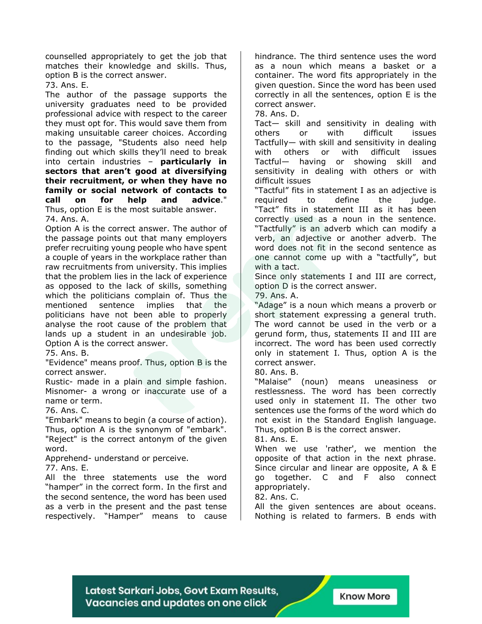counselled appropriately to get the job that matches their knowledge and skills. Thus, option B is the correct answer.

73. Ans. E.

The author of the passage supports the university graduates need to be provided professional advice with respect to the career they must opt for. This would save them from making unsuitable career choices. According to the passage, "Students also need help finding out which skills they'll need to break into certain industries – **particularly in sectors that aren't good at diversifying their recruitment, or when they have no family or social network of contacts to call on for help and advice**." Thus, option E is the most suitable answer. 74. Ans. A.

Option A is the correct answer. The author of the passage points out that many employers prefer recruiting young people who have spent a couple of years in the workplace rather than raw recruitments from university. This implies that the problem lies in the lack of experience as opposed to the lack of skills, something which the politicians complain of. Thus the mentioned sentence implies that the politicians have not been able to properly analyse the root cause of the problem that lands up a student in an undesirable job. Option A is the correct answer.

75. Ans. B.

"Evidence" means proof. Thus, option B is the correct answer.

Rustic- made in a plain and simple fashion. Misnomer- a wrong or inaccurate use of a name or term.

76. Ans. C.

"Embark" means to begin (a course of action). Thus, option A is the synonym of "embark". "Reject" is the correct antonym of the given

word.

Apprehend- understand or perceive.

77. Ans. E.

All the three statements use the word "hamper" in the correct form. In the first and the second sentence, the word has been used as a verb in the present and the past tense respectively. "Hamper" means to cause hindrance. The third sentence uses the word as a noun which means a basket or a container. The word fits appropriately in the given question. Since the word has been used correctly in all the sentences, option E is the correct answer.

78. Ans. D.

Tact— skill and sensitivity in dealing with others or with difficult issues Tactfully— with skill and sensitivity in dealing with others or with difficult issues Tactful— having or showing skill and sensitivity in dealing with others or with difficult issues

"Tactful" fits in statement I as an adjective is required to define the judge. "Tact" fits in statement III as it has been correctly used as a noun in the sentence. "Tactfully" is an adverb which can modify a verb, an adjective or another adverb. The word does not fit in the second sentence as one cannot come up with a "tactfully", but with a tact.

Since only statements I and III are correct, option D is the correct answer.

79. Ans. A.

"Adage" is a noun which means a proverb or short statement expressing a general truth. The word cannot be used in the verb or a gerund form, thus, statements II and III are incorrect. The word has been used correctly only in statement I. Thus, option A is the correct answer.

80. Ans. B.

"Malaise" (noun) means uneasiness or restlessness. The word has been correctly used only in statement II. The other two sentences use the forms of the word which do not exist in the Standard English language. Thus, option B is the correct answer.

81. Ans. E.

When we use 'rather', we mention the opposite of that action in the next phrase. Since circular and linear are opposite, A & E go together. C and F also connect appropriately.

82. Ans. C.

All the given sentences are about oceans. Nothing is related to farmers. B ends with

Latest Sarkari Jobs, Govt Exam Results, Vacancies and updates on one click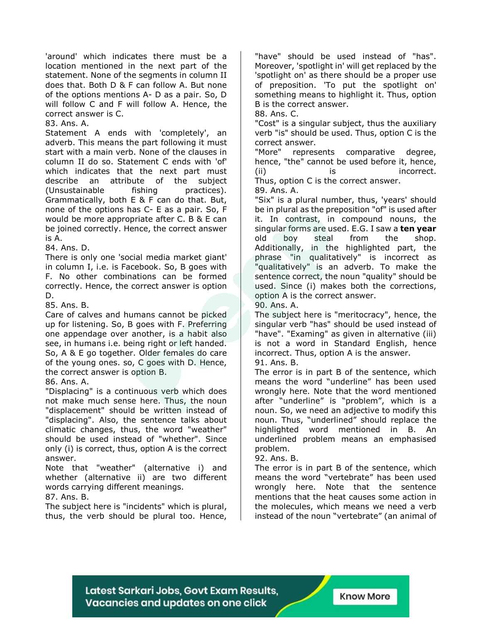'around' which indicates there must be a location mentioned in the next part of the statement. None of the segments in column II does that. Both D & F can follow A. But none of the options mentions A- D as a pair. So, D will follow C and F will follow A. Hence, the correct answer is C.

83. Ans. A.

Statement A ends with 'completely', an adverb. This means the part following it must start with a main verb. None of the clauses in column II do so. Statement C ends with 'of' which indicates that the next part must describe an attribute of the subject (Unsustainable fishing practices). Grammatically, both E & F can do that. But, none of the options has C- E as a pair. So, F would be more appropriate after C. B & E can be joined correctly. Hence, the correct answer is A.

84. Ans. D.

There is only one 'social media market giant' in column I, i.e. is Facebook. So, B goes with F. No other combinations can be formed correctly. Hence, the correct answer is option D.

85. Ans. B.

Care of calves and humans cannot be picked up for listening. So, B goes with F. Preferring one appendage over another, is a habit also see, in humans i.e. being right or left handed. So, A & E go together. Older females do care of the young ones. so, C goes with D. Hence, the correct answer is option B.

86. Ans. A.

"Displacing" is a continuous verb which does not make much sense here. Thus, the noun "displacement" should be written instead of "displacing". Also, the sentence talks about climatic changes, thus, the word "weather" should be used instead of "whether". Since only (i) is correct, thus, option A is the correct answer.

Note that "weather" (alternative i) and whether (alternative ii) are two different words carrying different meanings.

#### 87. Ans. B.

The subject here is "incidents" which is plural, thus, the verb should be plural too. Hence, "have" should be used instead of "has". Moreover, 'spotlight in' will get replaced by the 'spotlight on' as there should be a proper use of preposition. 'To put the spotlight on' something means to highlight it. Thus, option B is the correct answer.

88. Ans. C.

"Cost" is a singular subject, thus the auxiliary verb "is" should be used. Thus, option C is the correct answer.

"More" represents comparative degree, hence, "the" cannot be used before it, hence, (ii) is incorrect. Thus, option C is the correct answer.

89. Ans. A.

"Six" is a plural number, thus, 'years' should be in plural as the preposition "of" is used after it. In contrast, in compound nouns, the singular forms are used. E.G. I saw a **ten year** old boy steal from the shop. Additionally, in the highlighted part, the phrase "in qualitatively" is incorrect as "qualitatively" is an adverb. To make the sentence correct, the noun "quality" should be used. Since (i) makes both the corrections, option A is the correct answer.

90. Ans. A.

The subject here is "meritocracy", hence, the singular verb "has" should be used instead of "have". "Examing" as given in alternative (iii) is not a word in Standard English, hence incorrect. Thus, option A is the answer.

#### 91. Ans. B.

The error is in part B of the sentence, which means the word "underline" has been used wrongly here. Note that the word mentioned after "underline" is "problem", which is a noun. So, we need an adjective to modify this noun. Thus, "underlined" should replace the highlighted word mentioned in B. An underlined problem means an emphasised problem.

#### 92. Ans. B.

The error is in part B of the sentence, which means the word "vertebrate" has been used wrongly here. Note that the sentence mentions that the heat causes some action in the molecules, which means we need a verb instead of the noun "vertebrate" (an animal of

Latest Sarkari Jobs, Govt Exam Results, Vacancies and updates on one click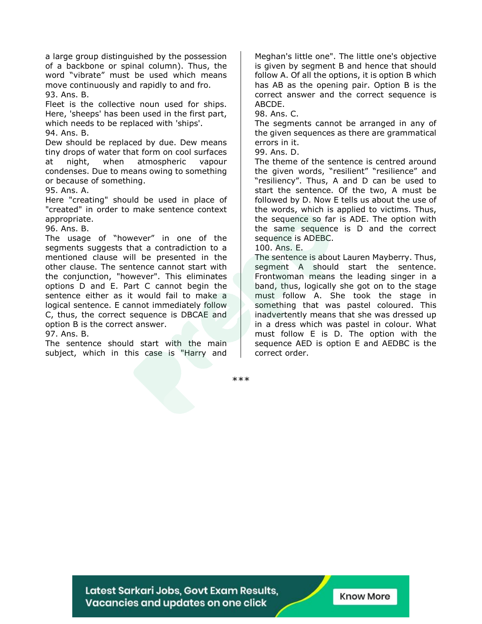a large group distinguished by the possession of a backbone or spinal column). Thus, the word "vibrate" must be used which means move continuously and rapidly to and fro. 93. Ans. B.

Fleet is the collective noun used for ships. Here, 'sheeps' has been used in the first part, which needs to be replaced with 'ships'. 94. Ans. B.

Dew should be replaced by due. Dew means tiny drops of water that form on cool surfaces at night, when atmospheric vapour condenses. Due to means owing to something or because of something.

95. Ans. A.

Here "creating" should be used in place of "created" in order to make sentence context appropriate.

96. Ans. B.

The usage of "however" in one of the segments suggests that a contradiction to a mentioned clause will be presented in the other clause. The sentence cannot start with the conjunction, "however". This eliminates options D and E. Part C cannot begin the sentence either as it would fail to make a logical sentence. E cannot immediately follow C, thus, the correct sequence is DBCAE and option B is the correct answer.

97. Ans. B.

The sentence should start with the main subject, which in this case is "Harry and Meghan's little one". The little one's objective is given by segment B and hence that should follow A. Of all the options, it is option B which has AB as the opening pair. Option B is the correct answer and the correct sequence is ABCDE.

98. Ans. C.

The segments cannot be arranged in any of the given sequences as there are grammatical errors in it.

99. Ans. D.

The theme of the sentence is centred around the given words, "resilient" "resilience" and "resiliency". Thus, A and D can be used to start the sentence. Of the two, A must be followed by D. Now E tells us about the use of the words, which is applied to victims. Thus, the sequence so far is ADE. The option with the same sequence is D and the correct sequence is ADEBC.

100. Ans. E.

The sentence is about Lauren Mayberry. Thus, segment A should start the sentence. Frontwoman means the leading singer in a band, thus, logically she got on to the stage must follow A. She took the stage in something that was pastel coloured. This inadvertently means that she was dressed up in a dress which was pastel in colour. What must follow E is D. The option with the sequence AED is option E and AEDBC is the correct order.

\*\*\*